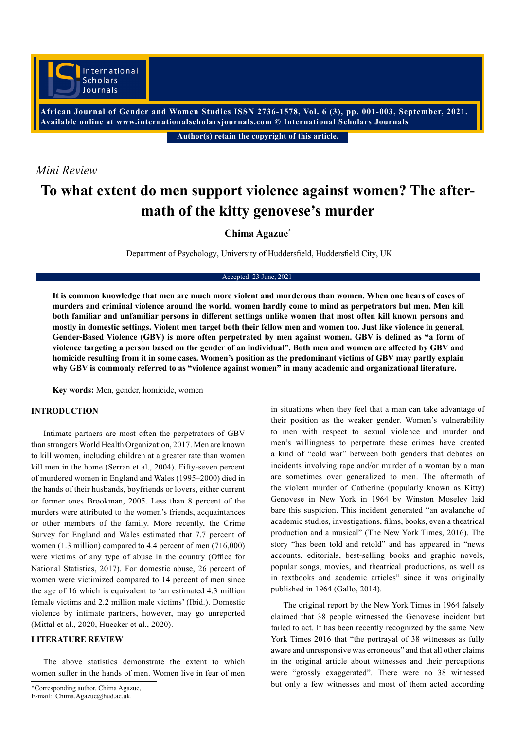**African Journal of Gender and Women Studies ISSN 2736-1578, Vol. 6 (3), pp. 001-003, September, 2021. Available online at www.internationalscholarsjournals.com © International Scholars Journals**

**Author(s) retain the copyright of this article.** 

## *Mini Review*

# **To what extent do men support violence against women? The aftermath of the kitty genovese's murder**

**Chima Agazue\***

Department of Psychology, University of Huddersfield, Huddersfield City, UK

#### Accepted 23 June, 2021

**It is common knowledge that men are much more violent and murderous than women. When one hears of cases of murders and criminal violence around the world, women hardly come to mind as perpetrators but men. Men kill both familiar and unfamiliar persons in different settings unlike women that most often kill known persons and mostly in domestic settings. Violent men target both their fellow men and women too. Just like violence in general, Gender-Based Violence (GBV) is more often perpetrated by men against women. GBV is defined as "a form of violence targeting a person based on the gender of an individual". Both men and women are affected by GBV and homicide resulting from it in some cases. Women's position as the predominant victims of GBV may partly explain why GBV is commonly referred to as "violence against women" in many academic and organizational literature.**

**Key words:** Men, gender, homicide, women

#### **INTRODUCTION**

Intimate partners are most often the perpetrators of GBV than strangers World Health Organization, 2017. Men are known to kill women, including children at a greater rate than women kill men in the home (Serran et al., 2004). Fifty-seven percent of murdered women in England and Wales (1995–2000) died in the hands of their husbands, boyfriends or lovers, either current or former ones Brookman, 2005. Less than 8 percent of the murders were attributed to the women's friends, acquaintances or other members of the family. More recently, the Crime Survey for England and Wales estimated that 7.7 percent of women (1.3 million) compared to 4.4 percent of men (716,000) were victims of any type of abuse in the country (Office for National Statistics, 2017). For domestic abuse, 26 percent of women were victimized compared to 14 percent of men since the age of 16 which is equivalent to 'an estimated 4.3 million female victims and 2.2 million male victims' (Ibid.). Domestic violence by intimate partners, however, may go unreported (Mittal et al., 2020, Huecker et al., 2020).

#### **LITERATURE REVIEW**

The above statistics demonstrate the extent to which women suffer in the hands of men. Women live in fear of men

in situations when they feel that a man can take advantage of their position as the weaker gender. Women's vulnerability to men with respect to sexual violence and murder and men's willingness to perpetrate these crimes have created a kind of "cold war" between both genders that debates on incidents involving rape and/or murder of a woman by a man are sometimes over generalized to men. The aftermath of the violent murder of Catherine (popularly known as Kitty) Genovese in New York in 1964 by Winston Moseley laid bare this suspicion. This incident generated "an avalanche of academic studies, investigations, films, books, even a theatrical production and a musical" (The New York Times, 2016). The story "has been told and retold" and has appeared in "news accounts, editorials, best-selling books and graphic novels, popular songs, movies, and theatrical productions, as well as in textbooks and academic articles" since it was originally published in 1964 (Gallo, 2014).

The original report by the New York Times in 1964 falsely claimed that 38 people witnessed the Genovese incident but failed to act. It has been recently recognized by the same New York Times 2016 that "the portrayal of 38 witnesses as fully aware and unresponsive was erroneous" and that all other claims in the original article about witnesses and their perceptions were "grossly exaggerated". There were no 38 witnessed \*Corresponding author. Chima Agazue. but only a few witnesses and most of them acted according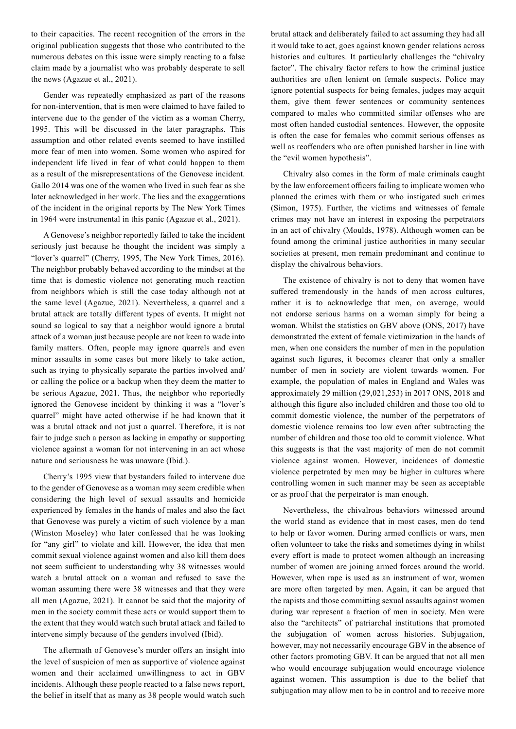to their capacities. The recent recognition of the errors in the original publication suggests that those who contributed to the numerous debates on this issue were simply reacting to a false claim made by a journalist who was probably desperate to sell the news (Agazue et al., 2021).

Gender was repeatedly emphasized as part of the reasons for non-intervention, that is men were claimed to have failed to intervene due to the gender of the victim as a woman Cherry, 1995. This will be discussed in the later paragraphs. This assumption and other related events seemed to have instilled more fear of men into women. Some women who aspired for independent life lived in fear of what could happen to them as a result of the misrepresentations of the Genovese incident. Gallo 2014 was one of the women who lived in such fear as she later acknowledged in her work. The lies and the exaggerations of the incident in the original reports by The New York Times in 1964 were instrumental in this panic (Agazue et al., 2021).

A Genovese's neighbor reportedly failed to take the incident seriously just because he thought the incident was simply a "lover's quarrel" (Cherry, 1995, The New York Times, 2016). The neighbor probably behaved according to the mindset at the time that is domestic violence not generating much reaction from neighbors which is still the case today although not at the same level (Agazue, 2021). Nevertheless, a quarrel and a brutal attack are totally different types of events. It might not sound so logical to say that a neighbor would ignore a brutal attack of a woman just because people are not keen to wade into family matters. Often, people may ignore quarrels and even minor assaults in some cases but more likely to take action, such as trying to physically separate the parties involved and/ or calling the police or a backup when they deem the matter to be serious Agazue, 2021. Thus, the neighbor who reportedly ignored the Genovese incident by thinking it was a "lover's quarrel" might have acted otherwise if he had known that it was a brutal attack and not just a quarrel. Therefore, it is not fair to judge such a person as lacking in empathy or supporting violence against a woman for not intervening in an act whose nature and seriousness he was unaware (Ibid.).

Cherry's 1995 view that bystanders failed to intervene due to the gender of Genovese as a woman may seem credible when considering the high level of sexual assaults and homicide experienced by females in the hands of males and also the fact that Genovese was purely a victim of such violence by a man (Winston Moseley) who later confessed that he was looking for "any girl" to violate and kill. However, the idea that men commit sexual violence against women and also kill them does not seem sufficient to understanding why 38 witnesses would watch a brutal attack on a woman and refused to save the woman assuming there were 38 witnesses and that they were all men (Agazue, 2021). It cannot be said that the majority of men in the society commit these acts or would support them to the extent that they would watch such brutal attack and failed to intervene simply because of the genders involved (Ibid).

The aftermath of Genovese's murder offers an insight into the level of suspicion of men as supportive of violence against women and their acclaimed unwillingness to act in GBV incidents. Although these people reacted to a false news report, the belief in itself that as many as 38 people would watch such

brutal attack and deliberately failed to act assuming they had all it would take to act, goes against known gender relations across histories and cultures. It particularly challenges the "chivalry factor". The chivalry factor refers to how the criminal justice authorities are often lenient on female suspects. Police may ignore potential suspects for being females, judges may acquit them, give them fewer sentences or community sentences compared to males who committed similar offenses who are most often handed custodial sentences. However, the opposite is often the case for females who commit serious offenses as well as reoffenders who are often punished harsher in line with the "evil women hypothesis".

Chivalry also comes in the form of male criminals caught by the law enforcement officers failing to implicate women who planned the crimes with them or who instigated such crimes (Simon, 1975). Further, the victims and witnesses of female crimes may not have an interest in exposing the perpetrators in an act of chivalry (Moulds, 1978). Although women can be found among the criminal justice authorities in many secular societies at present, men remain predominant and continue to display the chivalrous behaviors.

The existence of chivalry is not to deny that women have suffered tremendously in the hands of men across cultures, rather it is to acknowledge that men, on average, would not endorse serious harms on a woman simply for being a woman. Whilst the statistics on GBV above (ONS, 2017) have demonstrated the extent of female victimization in the hands of men, when one considers the number of men in the population against such figures, it becomes clearer that only a smaller number of men in society are violent towards women. For example, the population of males in England and Wales was approximately 29 million (29,021,253) in 2017 ONS, 2018 and although this figure also included children and those too old to commit domestic violence, the number of the perpetrators of domestic violence remains too low even after subtracting the number of children and those too old to commit violence. What this suggests is that the vast majority of men do not commit violence against women. However, incidences of domestic violence perpetrated by men may be higher in cultures where controlling women in such manner may be seen as acceptable or as proof that the perpetrator is man enough.

Nevertheless, the chivalrous behaviors witnessed around the world stand as evidence that in most cases, men do tend to help or favor women. During armed conflicts or wars, men often volunteer to take the risks and sometimes dying in whilst every effort is made to protect women although an increasing number of women are joining armed forces around the world. However, when rape is used as an instrument of war, women are more often targeted by men. Again, it can be argued that the rapists and those committing sexual assaults against women during war represent a fraction of men in society. Men were also the "architects" of patriarchal institutions that promoted the subjugation of women across histories. Subjugation, however, may not necessarily encourage GBV in the absence of other factors promoting GBV. It can be argued that not all men who would encourage subjugation would encourage violence against women. This assumption is due to the belief that subjugation may allow men to be in control and to receive more